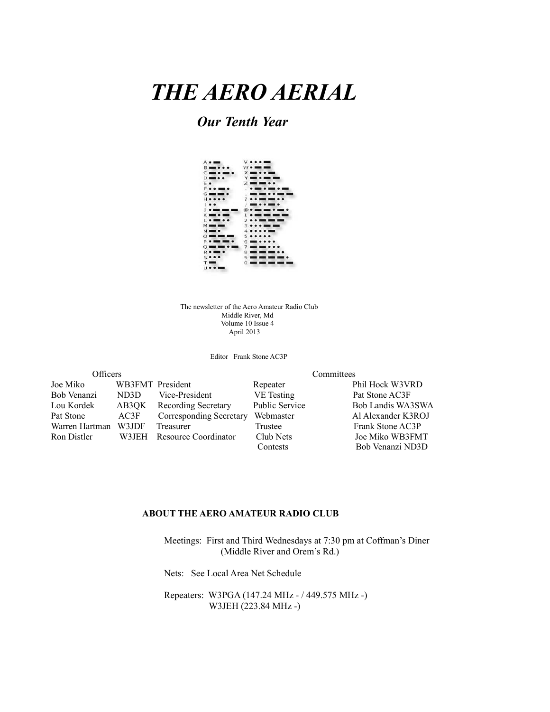# *THE AERO AERIAL*

### *Our Tenth Year*

| $A \bullet \blacksquare$                                              | $V \bullet \bullet \bullet \blacksquare$            |
|-----------------------------------------------------------------------|-----------------------------------------------------|
| $B = 000$                                                             | $W \bullet \bullet \bullet \bullet \bullet \bullet$ |
| $\mathbf{C} = \mathbf{C} \mathbf{C}$                                  | $X = 0.9$                                           |
| $D = 0$                                                               | $Y = 0 = 1$                                         |
| E.                                                                    | $Z = -1$                                            |
| <b>Fooms</b>                                                          | .                                                   |
| $G = 1$                                                               |                                                     |
| $H \bullet \bullet \bullet \bullet$                                   | $7.00$ mm and $0.0$                                 |
| $\bullet$                                                             | $\frac{1}{2}$                                       |
| $1.0$ mm.                                                             |                                                     |
| $K = 0$ and $K = 0$                                                   |                                                     |
| $\mathbf{I} \bullet \mathbf{I} \bullet \mathbf{I} \bullet \mathbf{I}$ | $2 \cdot \cdot$ and the set of $\sim$               |
| $M = 1$                                                               |                                                     |
| $N = \bullet$                                                         | $4$                                                 |
|                                                                       | 0000000 50000                                       |
|                                                                       | <b>PO MINIMUS 6 800 0 0 0 0 0</b>                   |
| $\sim$ 000 000 0 1                                                    | $7 = 0$                                             |
| <b>R</b> • <b>III</b> •                                               | 8 <b>mm mm o .</b>                                  |
| 5000                                                                  | $9 - 100$ and $100$ and $100$                       |
| T <b>and</b>                                                          | $\frac{1}{2}$                                       |
| $\cdots$                                                              |                                                     |

The newsletter of the Aero Amateur Radio Club Middle River, Md Volume 10 Issue 4 April 2013

Editor Frank Stone AC3P

| Officers       |       |                         |                       | Committees         |
|----------------|-------|-------------------------|-----------------------|--------------------|
| Joe Miko       |       | WB3FMT President        | Repeater              | Phil Hock W3VRD    |
| Bob Venanzi    | ND3D  | Vice-President          | VE Testing            | Pat Stone AC3F     |
| Lou Kordek     | AB3OK | Recording Secretary     | <b>Public Service</b> | Bob Landis WA3SWA  |
| Pat Stone      | AC3F  | Corresponding Secretary | Webmaster             | Al Alexander K3ROJ |
| Warren Hartman | W3JDF | Treasurer               | Trustee               | Frank Stone AC3P   |
| Ron Distler    | W3JEH | Resource Coordinator    | Club Nets             | Joe Miko WB3FMT    |
|                |       |                         | Contests              | Bob Venanzi ND3D   |

#### **ABOUT THE AERO AMATEUR RADIO CLUB**

 Meetings: First and Third Wednesdays at 7:30 pm at Coffman's Diner (Middle River and Orem's Rd.)

Nets: See Local Area Net Schedule

 Repeaters: W3PGA (147.24 MHz - / 449.575 MHz -) W3JEH (223.84 MHz -)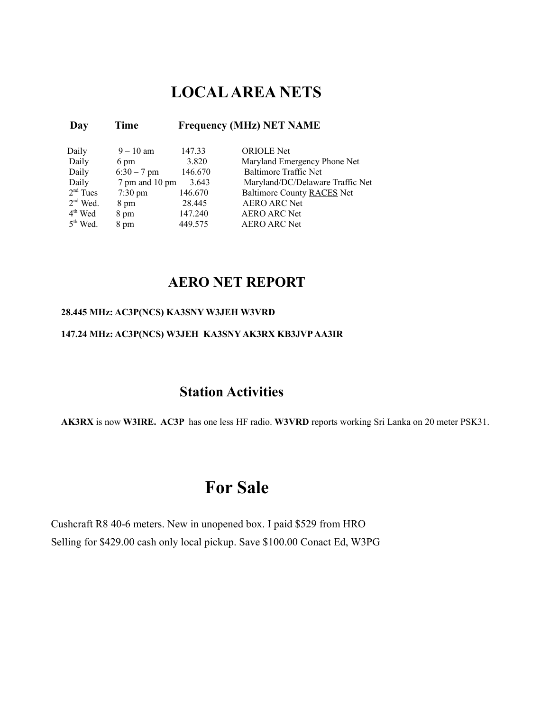### **LOCAL AREA NETS**

#### **Day Time Frequency (MHz) NET NAME**

| Daily      | $9 - 10$ am       | 147.33  | <b>ORIOLE</b> Net                |
|------------|-------------------|---------|----------------------------------|
| Daily      | 6 pm              | 3.820   | Maryland Emergency Phone Net     |
| Daily      | $6:30 - 7$ pm     | 146.670 | <b>Baltimore Traffic Net</b>     |
| Daily      | 7 pm and 10 pm    | 3.643   | Maryland/DC/Delaware Traffic Net |
| $2nd$ Tues | $7:30 \text{ pm}$ | 146.670 | Baltimore County RACES Net       |
| $2nd$ Wed. | 8 pm              | 28.445  | <b>AERO ARC Net</b>              |
| $4th$ Wed  | 8 pm              | 147.240 | <b>AERO ARC Net</b>              |
| $5th$ Wed. | 8 pm              | 449 575 | <b>AERO ARC Net</b>              |

### **AERO NET REPORT**

#### **28.445 MHz: AC3P(NCS) KA3SNY W3JEH W3VRD**

### **147.24 MHz: AC3P(NCS) W3JEH KA3SNY AK3RX KB3JVP AA3IR**

### **Station Activities**

**AK3RX** is now **W3IRE. AC3P** has one less HF radio. **W3VRD** reports working Sri Lanka on 20 meter PSK31.

### **For Sale**

Cushcraft R8 40-6 meters. New in unopened box. I paid \$529 from HRO Selling for \$429.00 cash only local pickup. Save \$100.00 Conact Ed, W3PG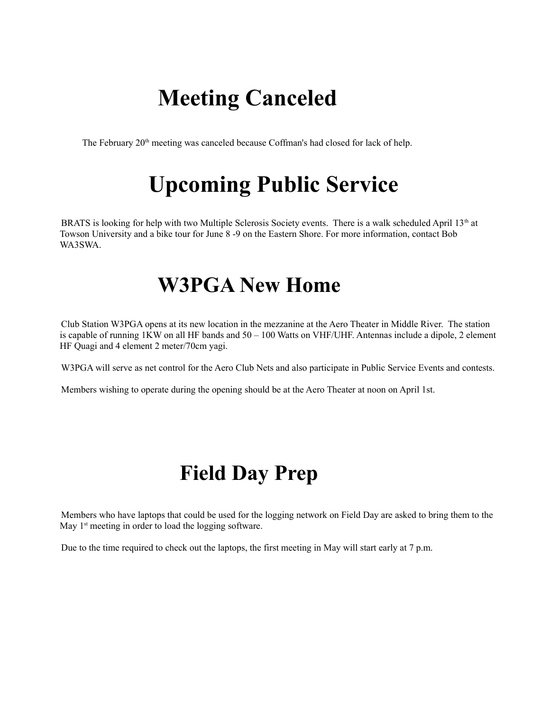# **Meeting Canceled**

The February 20<sup>th</sup> meeting was canceled because Coffman's had closed for lack of help.

# **Upcoming Public Service**

BRATS is looking for help with two Multiple Sclerosis Society events. There is a walk scheduled April 13<sup>th</sup> at Towson University and a bike tour for June 8 -9 on the Eastern Shore. For more information, contact Bob WA3SWA.

## **W3PGA New Home**

Club Station W3PGA opens at its new location in the mezzanine at the Aero Theater in Middle River. The station is capable of running 1KW on all HF bands and 50 – 100 Watts on VHF/UHF. Antennas include a dipole, 2 element HF Quagi and 4 element 2 meter/70cm yagi.

W3PGA will serve as net control for the Aero Club Nets and also participate in Public Service Events and contests.

Members wishing to operate during the opening should be at the Aero Theater at noon on April 1st.

# **Field Day Prep**

Members who have laptops that could be used for the logging network on Field Day are asked to bring them to the May  $1<sup>st</sup>$  meeting in order to load the logging software.

Due to the time required to check out the laptops, the first meeting in May will start early at 7 p.m.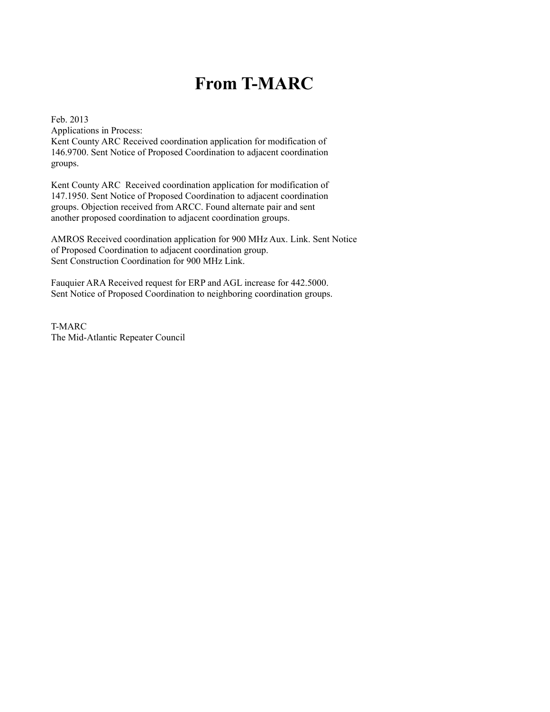### **From T-MARC**

Feb. 2013 Applications in Process:

Kent County ARC Received coordination application for modification of 146.9700. Sent Notice of Proposed Coordination to adjacent coordination groups.

Kent County ARC Received coordination application for modification of 147.1950. Sent Notice of Proposed Coordination to adjacent coordination groups. Objection received from ARCC. Found alternate pair and sent another proposed coordination to adjacent coordination groups.

AMROS Received coordination application for 900 MHz Aux. Link. Sent Notice of Proposed Coordination to adjacent coordination group. Sent Construction Coordination for 900 MHz Link.

Fauquier ARA Received request for ERP and AGL increase for 442.5000. Sent Notice of Proposed Coordination to neighboring coordination groups.

T-MARC The Mid-Atlantic Repeater Council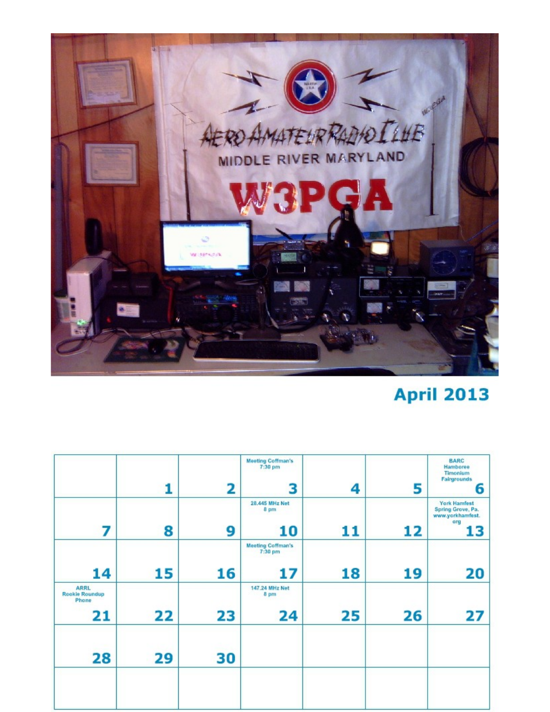

## **April 2013**

|                                                     | 1  | 2  | <b>Meeting Coffman's</b><br>7:30 pm<br>3             | 4  | 5  | <b>BARC</b><br>Hamboree<br><b>Timonium</b><br><b>Fairgrounds</b><br>6     |
|-----------------------------------------------------|----|----|------------------------------------------------------|----|----|---------------------------------------------------------------------------|
| 7                                                   | 8  | 9  | 28.445 MHz Net<br>8 pm<br>10                         | 11 | 12 | <b>York Hamfest</b><br>Spring Grove, Pa.<br>www.yorkhamfest.<br>org<br>13 |
| 14                                                  | 15 | 16 | <b>Meeting Coffman's</b><br>$7:30~\mathrm{pm}$<br>17 | 18 | 19 | 20                                                                        |
| <b>ARRL</b><br><b>Rookie Roundup</b><br>Phone<br>21 | 22 | 23 | 147.24 MHz Net<br>8 pm<br>24                         | 25 | 26 | 27                                                                        |
| 28                                                  | 29 | 30 |                                                      |    |    |                                                                           |
|                                                     |    |    |                                                      |    |    |                                                                           |